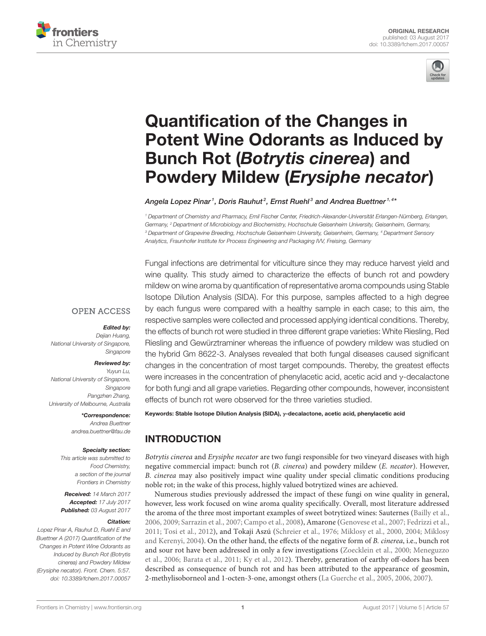



# Quantification of the Changes in [Potent Wine Odorants as Induced by](http://journal.frontiersin.org/article/10.3389/fchem.2017.00057/abstract) Bunch Rot (Botrytis cinerea) and Powdery Mildew (Erysiphe necator)

[Angela Lopez Pinar](http://loop.frontiersin.org/people/423206/overview) $^{\text{\tiny{\textit{1}}}}$ , Doris Rauhut $^{\text{\tiny{\textit{2}}}}$ , Ernst Ruehl $^{\text{\tiny{\textit{3}}}}$  and [Andrea Buettner](http://loop.frontiersin.org/people/236351/overview) $^{\text{\tiny{\textit{1}}},\,4*}$ 

<sup>1</sup> Department of Chemistry and Pharmacy, Emil Fischer Center, Friedrich-Alexander-Universität Erlangen-Nürnberg, Erlangen, Germany, <sup>2</sup> Department of Microbiology and Biochemistry, Hochschule Geisenheim University, Geisenheim, Germany, <sup>3</sup> Department of Grapevine Breeding, Hochschule Geisenheim University, Geisenheim, Germany, <sup>4</sup> Department Sensory Analytics, Fraunhofer Institute for Process Engineering and Packaging IVV, Freising, Germany

Fungal infections are detrimental for viticulture since they may reduce harvest yield and wine quality. This study aimed to characterize the effects of bunch rot and powdery mildew on wine aroma by quantification of representative aroma compounds using Stable Isotope Dilution Analysis (SIDA). For this purpose, samples affected to a high degree by each fungus were compared with a healthy sample in each case; to this aim, the respective samples were collected and processed applying identical conditions. Thereby, the effects of bunch rot were studied in three different grape varieties: White Riesling, Red Riesling and Gewürztraminer whereas the influence of powdery mildew was studied on the hybrid Gm 8622-3. Analyses revealed that both fungal diseases caused significant changes in the concentration of most target compounds. Thereby, the greatest effects were increases in the concentration of phenylacetic acid, acetic acid and γ-decalactone for both fungi and all grape varieties. Regarding other compounds, however, inconsistent effects of bunch rot were observed for the three varieties studied.

#### **OPEN ACCESS**

#### Edited by:

Dejian Huang, National University of Singapore, Singapore

#### Reviewed by:

Yuyun Lu, National University of Singapore, Singapore Pangzhen Zhang, University of Melbourne, Australia

\*Correspondence:

Andrea Buettner [andrea.buettner@fau.de](mailto:andrea.buettner@fau.de)

#### Specialty section:

This article was submitted to Food Chemistry, a section of the journal Frontiers in Chemistry

Received: 14 March 2017 Accepted: 17 July 2017 Published: 03 August 2017

#### Citation:

Lopez Pinar A, Rauhut D, Ruehl E and Buettner A (2017) Quantification of the Changes in Potent Wine Odorants as Induced by Bunch Rot (Botrytis cinerea) and Powdery Mildew (Erysiphe necator). Front. Chem. 5:57. doi: [10.3389/fchem.2017.00057](https://doi.org/10.3389/fchem.2017.00057) Keywords: Stable Isotope Dilution Analysis (SIDA), γ-decalactone, acetic acid, phenylacetic acid

# INTRODUCTION

Botrytis cinerea and Erysiphe necator are two fungi responsible for two vineyard diseases with high negative commercial impact: bunch rot (B. cinerea) and powdery mildew (E. necator). However, B. cinerea may also positively impact wine quality under special climatic conditions producing noble rot; in the wake of this process, highly valued botrytized wines are achieved.

Numerous studies previously addressed the impact of these fungi on wine quality in general, however, less work focused on wine aroma quality specifically. Overall, most literature addressed the aroma of the three most important examples of sweet botrytized wines: Sauternes [\(Bailly et al.,](#page-7-0) [2006,](#page-7-0) [2009;](#page-7-1) [Sarrazin et al., 2007;](#page-7-2) [Campo et al., 2008\)](#page-7-3), Amarone [\(Genovese et al., 2007;](#page-7-4) [Fedrizzi et al.,](#page-7-5) [2011;](#page-7-5) [Tosi et al., 2012\)](#page-8-0), and Tokaji Aszú [\(Schreier et al., 1976;](#page-7-6) [Miklosy et al., 2000,](#page-7-7) [2004;](#page-7-8) Miklosy and Kerenyi, [2004\)](#page-7-9). On the other hand, the effects of the negative form of B. cinerea, i.e., bunch rot and sour rot have been addressed in only a few investigations [\(Zoecklein et al., 2000;](#page-8-1) Meneguzzo et al., [2006;](#page-7-10) [Barata et al., 2011;](#page-7-11) [Ky et al., 2012\)](#page-7-12). Thereby, generation of earthy off-odors has been described as consequence of bunch rot and has been attributed to the appearance of geosmin, 2-methylisoborneol and 1-octen-3-one, amongst others [\(La Guerche et al., 2005,](#page-7-13) [2006,](#page-7-14) [2007\)](#page-7-15).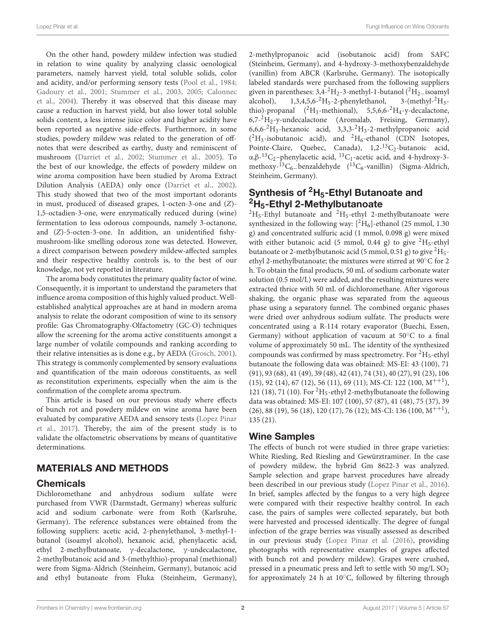Lopez Pinar et al. **Example 20 According the Contract Only and Contract Only and Contract Only and Contract Only and Contract Only and Contract Only and Contract Only and Contract Only and Contract Only and Contract Only a** 

On the other hand, powdery mildew infection was studied in relation to wine quality by analyzing classic oenological parameters, namely harvest yield, total soluble solids, color and acidity, and/or performing sensory tests [\(Pool et al., 1984;](#page-7-16) [Gadoury et al., 2001;](#page-7-17) [Stummer et al., 2003,](#page-8-2) [2005;](#page-8-3) Calonnec et al., [2004\)](#page-7-18). Thereby it was observed that this disease may cause a reduction in harvest yield, but also lower total soluble solids content, a less intense juice color and higher acidity have been reported as negative side-effects. Furthermore, in some studies, powdery mildew was related to the generation of offnotes that were described as earthy, dusty and reminiscent of mushroom [\(Darriet et al., 2002;](#page-7-19) [Stummer et al., 2005\)](#page-8-3). To the best of our knowledge, the effects of powdery mildew on wine aroma composition have been studied by Aroma Extract Dilution Analysis (AEDA) only once [\(Darriet et al., 2002\)](#page-7-19). This study showed that two of the most important odorants in must, produced of diseased grapes, 1-octen-3-one and (Z)- 1,5-octadien-3-one, were enzymatically reduced during (wine) fermentation to less odorous compounds, namely 3-octanone, and (Z)-5-octen-3-one. In addition, an unidentified fishymushroom-like smelling odorous zone was detected. However, a direct comparison between powdery mildew-affected samples and their respective healthy controls is, to the best of our knowledge, not yet reported in literature.

The aroma body constitutes the primary quality factor of wine. Consequently, it is important to understand the parameters that influence aroma composition of this highly valued product. Wellestablished analytical approaches are at hand in modern aroma analysis to relate the odorant composition of wine to its sensory profile: Gas Chromatography-Olfactometry (GC-O) techniques allow the screening for the aroma active constituents amongst a large number of volatile compounds and ranking according to their relative intensities as is done e.g., by AEDA [\(Grosch, 2001\)](#page-7-20). This strategy is commonly complemented by sensory evaluations and quantification of the main odorous constituents, as well as reconstitution experiments, especially when the aim is the confirmation of the complete aroma spectrum.

This article is based on our previous study where effects of bunch rot and powdery mildew on wine aroma have been evaluated by comparative AEDA and sensory tests (Lopez Pinar et al., [2017\)](#page-7-21). Thereby, the aim of the present study is to validate the olfactometric observations by means of quantitative determinations.

## MATERIALS AND METHODS

#### **Chemicals**

Dichloromethane and anhydrous sodium sulfate were purchased from VWR (Darmstadt, Germany) whereas sulfuric acid and sodium carbonate were from Roth (Karlsruhe, Germany). The reference substances were obtained from the following suppliers: acetic acid, 2-phenylethanol, 3-methyl-1 butanol (isoamyl alcohol), hexanoic acid, phenylacetic acid, ethyl 2-methylbutanoate, γ-decalactone, γ-undecalactone, 2-methylbutanoic acid and 3-(methylthio)-propanal (methional) were from Sigma-Aldrich (Steinheim, Germany), butanoic acid and ethyl butanoate from Fluka (Steinheim, Germany), 2-methylpropanoic acid (isobutanoic acid) from SAFC (Steinheim, Germany), and 4-hydroxy-3-methoxybenzaldehyde (vanillin) from ABCR (Karlsruhe, Germany). The isotopically labeled standards were purchased from the following suppliers given in parentheses:  $3,4^{-2}H_2-3$ -methyl-1-butanol (<sup>2</sup>H<sub>2</sub>−isoamyl<br>alcohol), 1,3,4,5,6-<sup>2</sup>H<sub>5</sub>-2-phenylethanol, 3-(methyl-<sup>2</sup>H<sub>3</sub>- $1,3,4,5,6$ <sup>-2</sup>H<sub>5</sub>-2-phenylethanol, thio)-propanal  $(^{2}H_{3}$ -methional), 5,5,6,6- $^{2}H_{4}$ -y-decalactone,  $6,7-2H<sub>2</sub>-y$ -undecalactone (Aromalab, Freising, Germany),  $6,6,6^{-2}H_3$ -hexanoic acid,  $3,3,3^{-2}H_3$ -2-methylpropanoic acid  $(^{2}H_{3}$ -isobutanoic acid), and  $^{2}H_{6}$ -ethanol (CDN Isotopes, Pointe-Claire, Quebec, Canada),  $1,2^{-13}C_2$ -butanoic acid, α,β-<sup>13</sup>C<sub>2</sub>-phenylacetic acid, <sup>13</sup>C<sub>1</sub>-acetic acid, and 4-hydroxy-3methoxy-<sup>13</sup>C<sub>6</sub>-benzaldehyde (<sup>13</sup>C<sub>6</sub>-vanillin) (Sigma-Aldrich, Steinheim, Germany).

## Synthesis of  ${}^{2}H_{5}$ -Ethyl Butanoate and  ${}^{2}$ H<sub>5</sub>-Ethyl 2-Methylbutanoate

 ${}^{2}H_{5}$ -Ethyl butanoate and  ${}^{2}H_{5}$ -ethyl 2-methylbutanoate were synthesized in the following way:  $[^2H_6]$ -ethanol (25 mmol, 1.30) g) and concentrated sulfuric acid (1 mmol, 0.098 g) were mixed with either butanoic acid (5 mmol, 0.44 g) to give  ${}^{2}H_{5}$ -ethyl butanoate or 2-methylbutanoic acid (5 mmol, 0.51 g) to give  ${}^{2}H_{5}$ ethyl 2-methylbutanoate; the mixtures were stirred at 90◦C for 2 h. To obtain the final products, 50 mL of sodium carbonate water solution (0.5 mol/L) were added, and the resulting mixtures were extracted thrice with 50 mL of dichloromethane. After vigorous shaking, the organic phase was separated from the aqueous phase using a separatory funnel. The combined organic phases were dried over anhydrous sodium sulfate. The products were concentrated using a R-114 rotary evaporator (Buechi, Essen, Germany) without application of vacuum at 50◦C to a final volume of approximately 50 mL. The identity of the synthesized compounds was confirmed by mass spectrometry. For  ${}^{2}H_{5}$ -ethyl butanoate the following data was obtained: MS-EI: 43 (100), 71 (91), 93 (68), 41 (49), 39 (48), 42 (41), 74 (31), 40 (27), 91 (23), 106 (15), 92 (14), 67 (12), 56 (11), 69 (11); MS-CI: 122 (100, M++<sup>1</sup> ), 121 (18), 71 (10). For  ${}^{2}H_{5}$ -ethyl 2-methylbutanoate the following data was obtained: MS-EI: 107 (100), 57 (87), 41 (48), 75 (37), 39 (26), 88 (19), 56 (18), 120 (17), 76 (12); MS-CI: 136 (100, M<sup>++1</sup>), 135 (21).

#### Wine Samples

The effects of bunch rot were studied in three grape varieties: White Riesling, Red Riesling and Gewürztraminer. In the case of powdery mildew, the hybrid Gm 8622-3 was analyzed. Sample selection and grape harvest procedures have already been described in our previous study [\(Lopez Pinar et al., 2016\)](#page-7-22). In brief, samples affected by the fungus to a very high degree were compared with their respective healthy control. In each case, the pairs of samples were collected separately, but both were harvested and processed identically. The degree of fungal infection of the grape berries was visually assessed as described in our previous study [\(Lopez Pinar et al. \(2016\)](#page-7-22), providing photographs with representative examples of grapes affected with bunch rot and powdery mildew). Grapes were crushed, pressed in a pneumatic press and left to settle with 50 mg/L SO<sub>2</sub> for approximately 24 h at 10◦C, followed by filtering through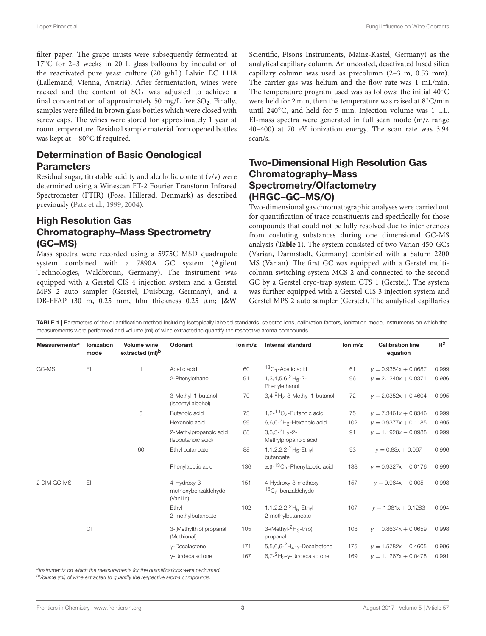filter paper. The grape musts were subsequently fermented at 17◦C for 2–3 weeks in 20 L glass balloons by inoculation of the reactivated pure yeast culture (20 g/hL) Lalvin EC 1118 (Lallemand, Vienna, Austria). After fermentation, wines were racked and the content of  $SO<sub>2</sub>$  was adjusted to achieve a final concentration of approximately 50 mg/L free  $SO_2$ . Finally, samples were filled in brown glass bottles which were closed with screw caps. The wines were stored for approximately 1 year at room temperature. Residual sample material from opened bottles was kept at −80◦C if required.

## Determination of Basic Oenological **Parameters**

Residual sugar, titratable acidity and alcoholic content (v/v) were determined using a Winescan FT-2 Fourier Transform Infrared Spectrometer (FTIR) (Foss, Hillerød, Denmark) as described previously [\(Patz et al., 1999,](#page-7-23) [2004\)](#page-7-24).

## High Resolution Gas Chromatography–Mass Spectrometry (GC–MS)

Mass spectra were recorded using a 5975C MSD quadrupole system combined with a 7890A GC system (Agilent Technologies, Waldbronn, Germany). The instrument was equipped with a Gerstel CIS 4 injection system and a Gerstel MPS 2 auto sampler (Gerstel, Duisburg, Germany), and a DB-FFAP (30 m, 0.25 mm, film thickness 0.25 µm; J&W Scientific, Fisons Instruments, Mainz-Kastel, Germany) as the analytical capillary column. An uncoated, deactivated fused silica capillary column was used as precolumn (2–3 m, 0.53 mm). The carrier gas was helium and the flow rate was 1 mL/min. The temperature program used was as follows: the initial 40◦C were held for 2 min, then the temperature was raised at 8◦C/min until 240 $\degree$ C, and held for 5 min. Injection volume was 1 µL. EI-mass spectra were generated in full scan mode (m/z range 40–400) at 70 eV ionization energy. The scan rate was 3.94 scan/s.

## Two-Dimensional High Resolution Gas Chromatography–Mass Spectrometry/Olfactometry (HRGC–GC–MS/O)

Two-dimensional gas chromatographic analyses were carried out for quantification of trace constituents and specifically for those compounds that could not be fully resolved due to interferences from coeluting substances during one dimensional GC-MS analysis (**[Table 1](#page-2-0)**). The system consisted of two Varian 450-GCs (Varian, Darmstadt, Germany) combined with a Saturn 2200 MS (Varian). The first GC was equipped with a Gerstel multicolumn switching system MCS 2 and connected to the second GC by a Gerstel cryo-trap system CTS 1 (Gerstel). The system was further equipped with a Gerstel CIS 3 injection system and Gerstel MPS 2 auto sampler (Gerstel). The analytical capillaries

<span id="page-2-0"></span>TABLE 1 | Parameters of the quantification method including isotopically labeled standards, selected ions, calibration factors, ionization mode, instruments on which the measurements were performed and volume (ml) of wine extracted to quantify the respective aroma compounds.

| <b>Measurements<sup>a</sup></b> | <b>Ionization</b><br>mode | <b>Volume wine</b><br>extracted (ml) <sup>b</sup> | Odorant                                           | lon m/z | <b>Internal standard</b>                                               | lon m/z | <b>Calibration line</b><br>equation | $R^2$ |
|---------------------------------|---------------------------|---------------------------------------------------|---------------------------------------------------|---------|------------------------------------------------------------------------|---------|-------------------------------------|-------|
| GC-MS                           | EI                        |                                                   | Acetic acid                                       | 60      | ${}^{13}C_1$ -Acetic acid                                              | 61      | $v = 0.9354x + 0.0687$              | 0.999 |
|                                 |                           |                                                   | 2-Phenylethanol                                   | 91      | 1, 3, 4, 5, 6 - ${}^{2}$ H <sub>5</sub> - 2 -<br>Phenylethanol         | 96      | $v = 2.1240x + 0.0371$              | 0.996 |
|                                 |                           |                                                   | 3-Methyl-1-butanol<br>(Isoamyl alcohol)           | 70      | $3,4-2H2-3-Methyl-1-butanol$                                           | 72      | $v = 2.0352x + 0.4604$              | 0.995 |
|                                 |                           | 5                                                 | Butanoic acid                                     | 73      | 1,2- ${}^{13}C_2$ -Butanoic acid                                       | 75      | $v = 7.3461x + 0.8346$              | 0.999 |
|                                 |                           |                                                   | Hexanoic acid                                     | 99      | 6,6,6- ${}^{2}H_3$ -Hexanoic acid                                      | 102     | $v = 0.9377x + 0.1185$              | 0.995 |
|                                 |                           |                                                   | 2-Methylpropanoic acid<br>(Isobutanoic acid)      | 88      | $3,3,3$ - $^{2}$ H <sub>3</sub> -2-<br>Methylpropanoic acid            | 91      | $v = 1.1928x - 0.0988$              | 0.999 |
|                                 |                           | 60                                                | Ethyl butanoate                                   | 88      | 1, 1, 2, 2, 2- <sup>2</sup> H <sub>5</sub> -Ethyl<br>butanoate         | 93      | $v = 0.83x + 0.067$                 | 0.996 |
|                                 |                           |                                                   | Phenylacetic acid                                 | 136     | $\alpha$ , $\beta$ - <sup>13</sup> C <sub>2</sub> -Phenylacetic acid   | 138     | $v = 0.9327x - 0.0176$              | 0.999 |
| 2 DIM GC-MS                     | E1                        |                                                   | 4-Hydroxy-3-<br>methoxybenzaldehyde<br>(Vanillin) | 151     | 4-Hydroxy-3-methoxy-<br>${}^{13}C_6$ -benzaldehyde                     | 157     | $v = 0.964x - 0.005$                | 0.998 |
|                                 |                           |                                                   | Ethyl<br>2-methylbutanoate                        | 102     | 1, 1, 2, 2, 2- <sup>2</sup> H <sub>5</sub> -Ethyl<br>2-methylbutanoate | 107     | $v = 1.081x + 0.1283$               | 0.994 |
|                                 | Cl                        |                                                   | 3-(Methylthio) propanal<br>(Methional)            | 105     | 3-(Methyl- ${}^{2}H_{3}$ -thio)<br>propanal                            | 108     | $v = 0.8634x + 0.0659$              | 0.998 |
|                                 |                           |                                                   | $v$ -Decalactone                                  | 171     | 5,5,6,6- $^2$ H <sub>4</sub> - $\gamma$ -Decalactone                   | 175     | $v = 1.5782x - 0.4605$              | 0.996 |
|                                 |                           |                                                   | $v$ -Undecalactone                                | 167     | $6.7 - ^2H_2 - y$ -Undecalactone                                       | 169     | $v = 1.1267x + 0.0478$              | 0.991 |

alnstruments on which the measurements for the quantifications were performed.

<sup>b</sup>Volume (ml) of wine extracted to quantify the respective aroma compounds.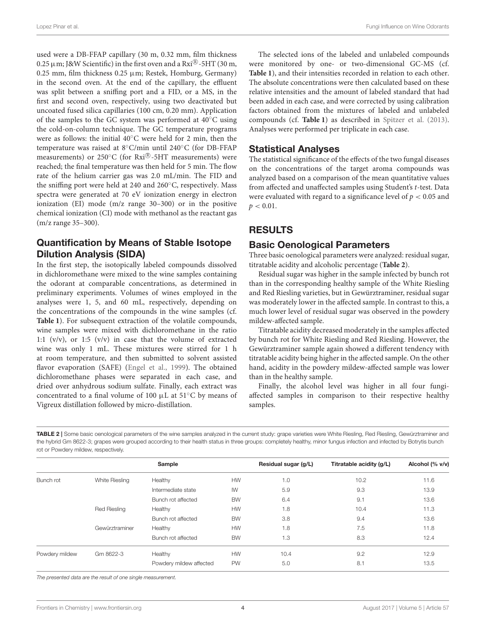used were a DB-FFAP capillary (30 m, 0.32 mm, film thickness 0.25  $\mu$  m; J&W Scientific) in the first oven and a Rxi $^{\circledR}$ -5HT (30 m, 0.25 mm, film thickness 0.25  $\mu$ m; Restek, Homburg, Germany) in the second oven. At the end of the capillary, the effluent was split between a sniffing port and a FID, or a MS, in the first and second oven, respectively, using two deactivated but uncoated fused silica capillaries (100 cm, 0.20 mm). Application of the samples to the GC system was performed at 40◦C using the cold-on-column technique. The GC temperature programs were as follows: the initial 40◦C were held for 2 min, then the temperature was raised at 8◦C/min until 240◦C (for DB-FFAP measurements) or  $250^{\circ}$ C (for  $Rxi^{(8)}$ -5HT measurements) were reached; the final temperature was then held for 5 min. The flow rate of the helium carrier gas was 2.0 mL/min. The FID and the sniffing port were held at 240 and 260◦C, respectively. Mass spectra were generated at 70 eV ionization energy in electron ionization (EI) mode (m/z range 30–300) or in the positive chemical ionization (CI) mode with methanol as the reactant gas (m/z range 35–300).

#### Quantification by Means of Stable Isotope Dilution Analysis (SIDA)

In the first step, the isotopically labeled compounds dissolved in dichloromethane were mixed to the wine samples containing the odorant at comparable concentrations, as determined in preliminary experiments. Volumes of wines employed in the analyses were 1, 5, and 60 mL, respectively, depending on the concentrations of the compounds in the wine samples (cf. **[Table 1](#page-2-0)**). For subsequent extraction of the volatile compounds, wine samples were mixed with dichloromethane in the ratio 1:1  $(v/v)$ , or 1:5  $(v/v)$  in case that the volume of extracted wine was only 1 mL. These mixtures were stirred for 1 h at room temperature, and then submitted to solvent assisted flavor evaporation (SAFE) [\(Engel et al., 1999\)](#page-7-25). The obtained dichloromethane phases were separated in each case, and dried over anhydrous sodium sulfate. Finally, each extract was concentrated to a final volume of 100 µL at 51◦C by means of Vigreux distillation followed by micro-distillation.

The selected ions of the labeled and unlabeled compounds were monitored by one- or two-dimensional GC-MS (cf. **[Table 1](#page-2-0)**), and their intensities recorded in relation to each other. The absolute concentrations were then calculated based on these relative intensities and the amount of labeled standard that had been added in each case, and were corrected by using calibration factors obtained from the mixtures of labeled and unlabeled compounds (cf. **[Table 1](#page-2-0)**) as described in [Spitzer et al. \(2013\)](#page-7-26). Analyses were performed per triplicate in each case.

#### Statistical Analyses

The statistical significance of the effects of the two fungal diseases on the concentrations of the target aroma compounds was analyzed based on a comparison of the mean quantitative values from affected and unaffected samples using Student's t-test. Data were evaluated with regard to a significance level of  $p < 0.05$  and  $p < 0.01$ .

## RESULTS

#### Basic Oenological Parameters

Three basic oenological parameters were analyzed: residual sugar, titratable acidity and alcoholic percentage (**[Table 2](#page-3-0)**).

Residual sugar was higher in the sample infected by bunch rot than in the corresponding healthy sample of the White Riesling and Red Riesling varieties, but in Gewürztraminer, residual sugar was moderately lower in the affected sample. In contrast to this, a much lower level of residual sugar was observed in the powdery mildew-affected sample.

Titratable acidity decreased moderately in the samples affected by bunch rot for White Riesling and Red Riesling. However, the Gewürztraminer sample again showed a different tendency with titratable acidity being higher in the affected sample. On the other hand, acidity in the powdery mildew-affected sample was lower than in the healthy sample.

Finally, the alcohol level was higher in all four fungiaffected samples in comparison to their respective healthy samples.

<span id="page-3-0"></span>TABLE 2 | Some basic oenological parameters of the wine samples analyzed in the current study: grape varieties were White Riesling, Red Riesling, Gewürztraminer and the hybrid Gm 8622-3; grapes were grouped according to their health status in three groups: completely healthy, minor fungus infection and infected by Botrytis bunch rot or Powdery mildew, respectively.

|                |                     | Sample                  |           | Residual sugar (g/L) | Titratable acidity (g/L) | Alcohol (% v/v) |
|----------------|---------------------|-------------------------|-----------|----------------------|--------------------------|-----------------|
| Bunch rot      | White Riesling      | Healthy                 | <b>HW</b> | 1.0                  | 10.2                     | 11.6            |
|                |                     | Intermediate state      | IW        | 5.9                  | 9.3                      | 13.9            |
|                |                     | Bunch rot affected      | <b>BW</b> | 6.4                  | 9.1                      | 13.6            |
|                | <b>Red Riesling</b> | Healthy                 | <b>HW</b> | 1.8                  | 10.4                     | 11.3            |
|                |                     | Bunch rot affected      | <b>BW</b> | 3.8                  | 9.4                      | 13.6            |
|                | Gewürztraminer      | Healthy                 | <b>HW</b> | 1.8                  | 7.5                      | 11.8            |
|                |                     | Bunch rot affected      | <b>BW</b> | 1.3                  | 8.3                      | 12.4            |
| Powdery mildew | Gm 8622-3           | Healthy                 | <b>HW</b> | 10.4                 | 9.2                      | 12.9            |
|                |                     | Powdery mildew affected | <b>PW</b> | 5.0                  | 8.1                      | 13.5            |

The presented data are the result of one single measurement.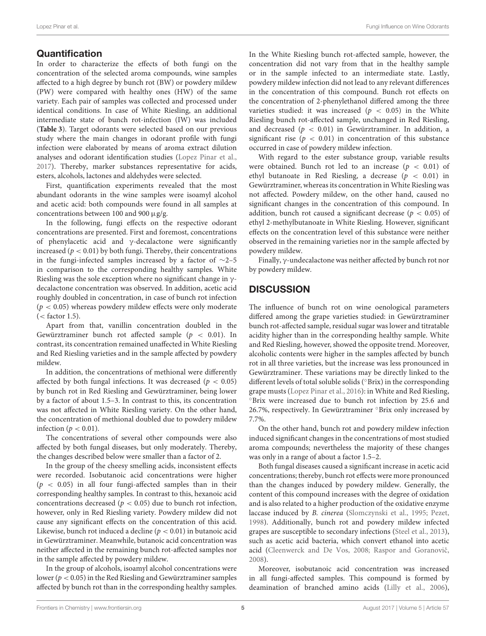### **Quantification**

In order to characterize the effects of both fungi on the concentration of the selected aroma compounds, wine samples affected to a high degree by bunch rot (BW) or powdery mildew (PW) were compared with healthy ones (HW) of the same variety. Each pair of samples was collected and processed under identical conditions. In case of White Riesling, an additional intermediate state of bunch rot-infection (IW) was included (**[Table 3](#page-5-0)**). Target odorants were selected based on our previous study where the main changes in odorant profile with fungi infection were elaborated by means of aroma extract dilution analyses and odorant identification studies [\(Lopez Pinar et al.,](#page-7-21) [2017\)](#page-7-21). Thereby, marker substances representative for acids, esters, alcohols, lactones and aldehydes were selected.

First, quantification experiments revealed that the most abundant odorants in the wine samples were isoamyl alcohol and acetic acid: both compounds were found in all samples at concentrations between 100 and 900 µg/g.

In the following, fungi effects on the respective odorant concentrations are presented. First and foremost, concentrations of phenylacetic acid and γ-decalactone were significantly increased ( $p < 0.01$ ) by both fungi. Thereby, their concentrations in the fungi-infected samples increased by a factor of ∼2–5 in comparison to the corresponding healthy samples. White Riesling was the sole exception where no significant change in  $\gamma$ decalactone concentration was observed. In addition, acetic acid roughly doubled in concentration, in case of bunch rot infection  $(p < 0.05)$  whereas powdery mildew effects were only moderate  $(<$  factor 1.5).

Apart from that, vanillin concentration doubled in the Gewürztraminer bunch rot affected sample ( $p < 0.01$ ). In contrast, its concentration remained unaffected in White Riesling and Red Riesling varieties and in the sample affected by powdery mildew.

In addition, the concentrations of methional were differently affected by both fungal infections. It was decreased ( $p < 0.05$ ) by bunch rot in Red Riesling and Gewürztraminer, being lower by a factor of about 1.5–3. In contrast to this, its concentration was not affected in White Riesling variety. On the other hand, the concentration of methional doubled due to powdery mildew infection ( $p < 0.01$ ).

The concentrations of several other compounds were also affected by both fungal diseases, but only moderately. Thereby, the changes described below were smaller than a factor of 2.

In the group of the cheesy smelling acids, inconsistent effects were recorded. Isobutanoic acid concentrations were higher  $(p < 0.05)$  in all four fungi-affected samples than in their corresponding healthy samples. In contrast to this, hexanoic acid concentrations decreased ( $p < 0.05$ ) due to bunch rot infection, however, only in Red Riesling variety. Powdery mildew did not cause any significant effects on the concentration of this acid. Likewise, bunch rot induced a decline ( $p < 0.01$ ) in butanoic acid in Gewürztraminer. Meanwhile, butanoic acid concentration was neither affected in the remaining bunch rot-affected samples nor in the sample affected by powdery mildew.

In the group of alcohols, isoamyl alcohol concentrations were lower ( $p < 0.05$ ) in the Red Riesling and Gewürztraminer samples affected by bunch rot than in the corresponding healthy samples.

In the White Riesling bunch rot-affected sample, however, the concentration did not vary from that in the healthy sample or in the sample infected to an intermediate state. Lastly, powdery mildew infection did not lead to any relevant differences in the concentration of this compound. Bunch rot effects on the concentration of 2-phenylethanol differed among the three varieties studied: it was increased ( $p < 0.05$ ) in the White Riesling bunch rot-affected sample, unchanged in Red Riesling, and decreased ( $p < 0.01$ ) in Gewürztraminer. In addition, a significant rise ( $p < 0.01$ ) in concentration of this substance occurred in case of powdery mildew infection.

With regard to the ester substance group, variable results were obtained. Bunch rot led to an increase  $(p < 0.01)$  of ethyl butanoate in Red Riesling, a decrease ( $p < 0.01$ ) in Gewürztraminer, whereas its concentration in White Riesling was not affected. Powdery mildew, on the other hand, caused no significant changes in the concentration of this compound. In addition, bunch rot caused a significant decrease ( $p < 0.05$ ) of ethyl 2-methylbutanoate in White Riesling. However, significant effects on the concentration level of this substance were neither observed in the remaining varieties nor in the sample affected by powdery mildew.

Finally, γ-undecalactone was neither affected by bunch rot nor by powdery mildew.

# **DISCUSSION**

The influence of bunch rot on wine oenological parameters differed among the grape varieties studied: in Gewürztraminer bunch rot-affected sample, residual sugar was lower and titratable acidity higher than in the corresponding healthy sample. White and Red Riesling, however, showed the opposite trend. Moreover, alcoholic contents were higher in the samples affected by bunch rot in all three varieties, but the increase was less pronounced in Gewürztraminer. These variations may be directly linked to the different levels of total soluble solids (◦Brix) in the corresponding grape musts [\(Lopez Pinar et al., 2016\)](#page-7-22): in White and Red Riesling, ◦Brix were increased due to bunch rot infection by 25.6 and 26.7%, respectively. In Gewürztraminer ◦Brix only increased by 7.7%.

On the other hand, bunch rot and powdery mildew infection induced significant changes in the concentrations of most studied aroma compounds; nevertheless the majority of these changes was only in a range of about a factor 1.5–2.

Both fungal diseases caused a significant increase in acetic acid concentrations; thereby, bunch rot effects were more pronounced than the changes induced by powdery mildew. Generally, the content of this compound increases with the degree of oxidation and is also related to a higher production of the oxidative enzyme laccase induced by B. cinerea [\(Slomczynski et al., 1995;](#page-7-27) [Pezet,](#page-7-28) [1998\)](#page-7-28). Additionally, bunch rot and powdery mildew infected grapes are susceptible to secondary infections [\(Steel et al., 2013\)](#page-8-4), such as acetic acid bacteria, which convert ethanol into acetic acid [\(Cleenwerck and De Vos, 2008;](#page-7-29) Raspor and Goranovič, [2008\)](#page-7-30).

Moreover, isobutanoic acid concentration was increased in all fungi-affected samples. This compound is formed by deamination of branched amino acids [\(Lilly et al., 2006\)](#page-7-31),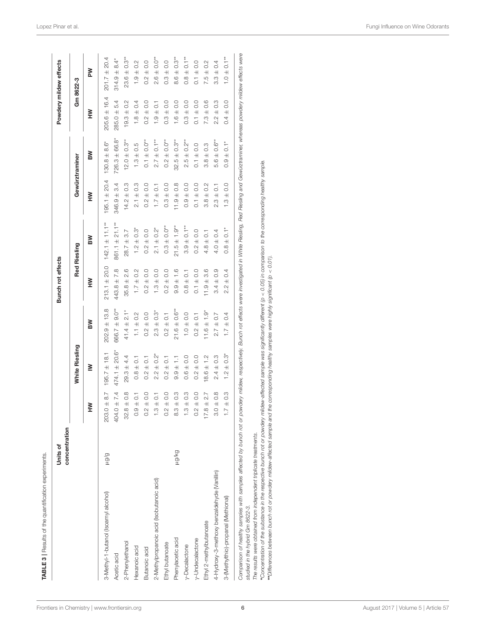<span id="page-5-0"></span>

|                                                                                                                                                                                                                                                                                                                                                                                                                                                                                                                               | concentration<br>Units of |                                        |                                                 |                               | Bunch rot effects                      |                                                     |                                                      |                              |                                                   | Powdery mildew effects                              |
|-------------------------------------------------------------------------------------------------------------------------------------------------------------------------------------------------------------------------------------------------------------------------------------------------------------------------------------------------------------------------------------------------------------------------------------------------------------------------------------------------------------------------------|---------------------------|----------------------------------------|-------------------------------------------------|-------------------------------|----------------------------------------|-----------------------------------------------------|------------------------------------------------------|------------------------------|---------------------------------------------------|-----------------------------------------------------|
|                                                                                                                                                                                                                                                                                                                                                                                                                                                                                                                               |                           |                                        | White Riesling                                  |                               |                                        | <b>Red Riesling</b>                                 |                                                      | Gewürztraminer               |                                                   | Gm 8622-3                                           |
|                                                                                                                                                                                                                                                                                                                                                                                                                                                                                                                               |                           | ≩                                      | ≧                                               | ≧                             | ≧<br>⊾                                 | ≧                                                   | ≧<br>⊾                                               | ≧                            | ≧<br>⊾                                            | MA                                                  |
| 3-Methyl-1-butanol (Isoamyl alcohol)                                                                                                                                                                                                                                                                                                                                                                                                                                                                                          | b/Bm                      | 8.7<br>$203.0 \pm$                     | ± 18.1<br>195.7                                 | $202.9 \pm 13.8$              | ± 20.0<br>213.1                        | $142.1 \pm 11.1***$                                 | 20.4<br>$195.1 \pm$                                  | $130.8 + 8.6^*$              | 16.4<br>$205.6 \pm$                               | 20.4<br>$\overline{+}$<br>201.7                     |
| Acetic acid                                                                                                                                                                                                                                                                                                                                                                                                                                                                                                                   |                           | $404.0 \pm 7.4$                        | $474.1 \pm 20.6^*$                              | $666.7 \pm 9.0**$             | 7.8<br>$443.8 +$                       | $861.1 \pm 21.1***$                                 | 3.4<br>$346.9 +$                                     | $726.3 \pm 66.8$             | 54<br>$285.0 +$                                   | $\ddot{a}$<br>$314.9 +$                             |
| 2-Phenylethanol                                                                                                                                                                                                                                                                                                                                                                                                                                                                                                               |                           | $0.\overline{8}$<br>$32.8 +$           | $29.3 \pm 4.4$                                  | $41.4 \pm 2.1*$               | 2.6<br>$\overline{+}$<br>35.8          | 3.7<br>$\overline{+}$<br>28.7                       | $0.\overline{3}$<br>$\overline{+}$<br>14.2           | $12.0 \pm 0.3**$             | 0.2<br>$\overline{+}$<br>19.3                     | $23.6 \pm 0.3**$                                    |
| Hexanoic acid                                                                                                                                                                                                                                                                                                                                                                                                                                                                                                                 |                           | $\overline{C}$<br>$0.9 +$              | $0.8 \pm 0.1$                                   | $\pm 0.2$<br>$\overline{a}$   | $\pm 0.2$<br>$\overline{1}$ .          | $\pm 0.3$ <sup>*</sup><br>$\frac{1}{2}$             | C.G<br>$\overline{+}$<br>$\frac{1}{2}$               | $1.3 \pm 0.5$                | 0.4<br>$\overline{+}$<br>$\frac{8}{1}$            | 0.2<br>$1.9 +$                                      |
| Butanoic acid                                                                                                                                                                                                                                                                                                                                                                                                                                                                                                                 |                           | $0.2 \pm 0.0$                          | $0.2 \pm 0.1$                                   | $0.2 \pm 0.0$                 | $\pm$ 0.0<br>$\frac{2}{3}$             | $\overline{0}$ .<br>$\overline{+}$<br>$\frac{2}{3}$ | $\overline{0}$<br>$\overline{+}$<br>$\frac{2}{3}$    | $0.1 \pm 0.0$ <sup>**</sup>  | 0.0<br>$\overline{+}$<br>$\frac{2}{3}$            | $\overline{0}$ .<br>$\overline{+}$<br>$\frac{2}{3}$ |
| 2-Methylpropanoic acid (Isobutanoic acid)                                                                                                                                                                                                                                                                                                                                                                                                                                                                                     |                           | $\overline{C}$<br>$1.3 \pm$            | $\stackrel{5}{\pm} 0.\stackrel{2}{\sim}$<br>2.2 | $2.3 \pm 0.3$ <sup>*</sup>    | $\pm 0.0$<br>$\frac{3}{1}$             | $\pm$ 0.2 <sup>*</sup><br>$\frac{1}{2}$             | $\overline{C}$<br>$\overline{+}$<br>$\overline{1}$ . | $*$ 0.1<br>2.7               | $\overline{C}$<br>$\overline{+}$<br>$\frac{0}{1}$ | $O. O^*$<br>$\overline{+}$<br>2.6                   |
| Ethyl butanoate                                                                                                                                                                                                                                                                                                                                                                                                                                                                                                               |                           | $0.2 \pm 0.0$                          | $0.2 \pm 0.1$                                   | $0.2 \pm 0.1$                 | $\pm 0.0$<br>$\frac{2}{3}$             | $0.3 \pm 0.0$ **                                    | $\overline{0}$ .<br>$\overline{+}$<br>0.3            | $0.2 \pm 0.0***$             | 0.0<br>$\overline{+}$<br>$\frac{3}{2}$            | $\overline{0}$ .<br>$0.3 \pm$                       |
| Phenylacetic acid                                                                                                                                                                                                                                                                                                                                                                                                                                                                                                             | py/671                    | 0.3<br>$\overline{+}$<br>.<br>တ        | H<br>$9.9 +$                                    | $21.6 \pm 0.6$ **             | $\frac{6}{1}$<br>$\overline{+}$<br>9.9 | $21.5 \pm 1.9**$                                    | $0.\overline{8}$<br>$\overline{+}$<br>11.9           | $32.5 \pm 0.3$ **            | 0.0<br>$\overline{+}$<br>$\frac{6}{1}$            | $0.3**$<br>$\overline{+}$<br>8.6                    |
| y-Decalactone                                                                                                                                                                                                                                                                                                                                                                                                                                                                                                                 |                           | $0.\overline{3}$<br>$\frac{4}{3}$<br>π | 0.0<br>$\overline{+}$<br>$\frac{6}{2}$          | $1.0 \pm 0.0$                 | $\pm$ 0.1<br>$\frac{8}{10}$            | $0.1**$<br>$\overline{+}$<br>0.<br>0.               | $_{\odot}^{\circ}$<br>$\overline{+}$<br>0.9          | $2.5 \pm 0.2***$             | 0.0<br>$\overline{+}$<br>$\ddot{0}$               | $0.8 \pm 0.1$ <sup>**</sup>                         |
| y-Undecalactone                                                                                                                                                                                                                                                                                                                                                                                                                                                                                                               |                           | $0.2 \pm 0.0$                          | $0.2 \pm 0.0$                                   | $0.2 \pm 0.1$                 | $\pm 0.0$<br>$\overline{c}$            | $\frac{0}{2}$<br>$0.2 +$                            | $\overline{0}$<br>$\overline{+}$<br>$\overline{c}$   | $0.1 \pm 0.0$                | 0.0<br>$\overline{+}$<br>$\overline{c}$           | $\frac{0}{2}$<br>$0.1 +$                            |
| Ethyl 2-methylbutanoate                                                                                                                                                                                                                                                                                                                                                                                                                                                                                                       |                           | 2.7<br>$17.8 \pm$                      | $8.6 \pm 1.2$                                   | $11.6 \pm 1.9$                | 3.6<br>$\ddot{+}$<br>11.9              | $\overline{C}$<br>$\overline{+}$<br>4.8             | 0.2<br>$\overline{+}$<br>8.8                         | 0.3<br>$\overline{+}$<br>3.8 | 0.6<br>$\overline{+}$<br>7.3                      | 0.2<br>$\overline{+}$<br>7.5                        |
| 4-Hydroxy-3-methoxy benzaldehyde (Vanillin)                                                                                                                                                                                                                                                                                                                                                                                                                                                                                   |                           | $3.0 \pm 0.8$                          | $2.4 \pm 0.3$                                   | $2.7 \pm 0.7$                 | $\pm 0.9$<br>3.4                       | $4.0 \pm 0.4$                                       | $\overline{C}$<br>$\overline{+}$<br>23               | $5.6 \pm 0.6$ **             | 0.3<br>$\overline{+}$<br>2.2                      | $3.3 \pm 0.4$                                       |
| 3-(Methylthio)-propanal (Methional)                                                                                                                                                                                                                                                                                                                                                                                                                                                                                           |                           | $1.7 \pm 0.3$                          | $\pm$ 0.3*<br>Ċ,                                | $\pm 0.4$<br>$\overline{1}$ . | $\pm 0.4$<br>2.2                       | $\overline{0}$ .<br>$0.8 +$                         | 0.0<br>$\overline{+}$<br>$\frac{3}{1}$               | $\overline{0}$ .<br>$0.9 +$  | $\overline{0}$<br>$\overline{+}$<br>$\ddot{0}$    | $0.1**$<br>$\pm$ 0.1                                |
| Comparison of healthy samples affected by bunch rot or powdery mildew, respectively. Bunch rot effects were investigated in White Riesling, Red Resling and Gewürztraminer, whereas powdery mildew effects were<br>$^{\circ}$ Concentration of the substance in the respective bunch rot or powdery mildew-affected sample was significantly different (p < 0.05) in comparison to the corresponding healthy sample.<br>The results were obtained from independent triplicate treatments.<br>studied in the hybrid Gm 8622-3. |                           |                                        |                                                 |                               |                                        |                                                     |                                                      |                              |                                                   |                                                     |
| <b>"</b> Differences between bunch rot or powdery mildew-affected sample and the corresponding healthy samples were highly significant (p < 0.01)                                                                                                                                                                                                                                                                                                                                                                             |                           |                                        |                                                 |                               |                                        |                                                     |                                                      |                              |                                                   |                                                     |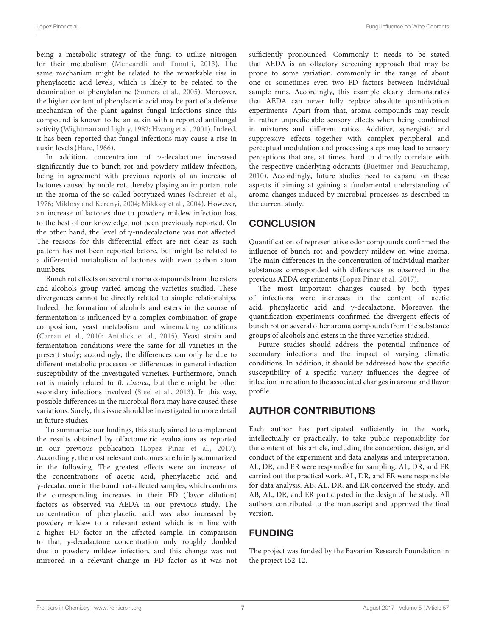being a metabolic strategy of the fungi to utilize nitrogen for their metabolism [\(Mencarelli and Tonutti, 2013\)](#page-7-32). The same mechanism might be related to the remarkable rise in phenylacetic acid levels, which is likely to be related to the deamination of phenylalanine [\(Somers et al., 2005\)](#page-7-33). Moreover, the higher content of phenylacetic acid may be part of a defense mechanism of the plant against fungal infections since this compound is known to be an auxin with a reported antifungal activity [\(Wightman and Lighty, 1982;](#page-8-5) [Hwang et al., 2001\)](#page-7-34). Indeed, it has been reported that fungal infections may cause a rise in auxin levels [\(Hare, 1966\)](#page-7-35).

In addition, concentration of γ-decalactone increased significantly due to bunch rot and powdery mildew infection, being in agreement with previous reports of an increase of lactones caused by noble rot, thereby playing an important role in the aroma of the so called botrytized wines [\(Schreier et al.,](#page-7-6) [1976;](#page-7-6) [Miklosy and Kerenyi, 2004;](#page-7-9) [Miklosy et al., 2004\)](#page-7-8). However, an increase of lactones due to powdery mildew infection has, to the best of our knowledge, not been previously reported. On the other hand, the level of γ-undecalactone was not affected. The reasons for this differential effect are not clear as such pattern has not been reported before, but might be related to a differential metabolism of lactones with even carbon atom numbers.

Bunch rot effects on several aroma compounds from the esters and alcohols group varied among the varieties studied. These divergences cannot be directly related to simple relationships. Indeed, the formation of alcohols and esters in the course of fermentation is influenced by a complex combination of grape composition, yeast metabolism and winemaking conditions [\(Carrau et al., 2010;](#page-7-36) [Antalick et al., 2015\)](#page-7-37). Yeast strain and fermentation conditions were the same for all varieties in the present study; accordingly, the differences can only be due to different metabolic processes or differences in general infection susceptibility of the investigated varieties. Furthermore, bunch rot is mainly related to B. cinerea, but there might be other secondary infections involved [\(Steel et al., 2013\)](#page-8-4). In this way, possible differences in the microbial flora may have caused these variations. Surely, this issue should be investigated in more detail in future studies.

To summarize our findings, this study aimed to complement the results obtained by olfactometric evaluations as reported in our previous publication [\(Lopez Pinar et al., 2017\)](#page-7-21). Accordingly, the most relevant outcomes are briefly summarized in the following. The greatest effects were an increase of the concentrations of acetic acid, phenylacetic acid and γ-decalactone in the bunch rot-affected samples, which confirms the corresponding increases in their FD (flavor dilution) factors as observed via AEDA in our previous study. The concentration of phenylacetic acid was also increased by powdery mildew to a relevant extent which is in line with a higher FD factor in the affected sample. In comparison to that, y-decalactone concentration only roughly doubled due to powdery mildew infection, and this change was not mirrored in a relevant change in FD factor as it was not sufficiently pronounced. Commonly it needs to be stated that AEDA is an olfactory screening approach that may be prone to some variation, commonly in the range of about one or sometimes even two FD factors between individual sample runs. Accordingly, this example clearly demonstrates that AEDA can never fully replace absolute quantification experiments. Apart from that, aroma compounds may result in rather unpredictable sensory effects when being combined in mixtures and different ratios. Additive, synergistic and suppressive effects together with complex peripheral and perceptual modulation and processing steps may lead to sensory perceptions that are, at times, hard to directly correlate with the respective underlying odorants [\(Buettner and Beauchamp,](#page-7-38) [2010\)](#page-7-38). Accordingly, future studies need to expand on these aspects if aiming at gaining a fundamental understanding of aroma changes induced by microbial processes as described in the current study.

# **CONCLUSION**

Quantification of representative odor compounds confirmed the influence of bunch rot and powdery mildew on wine aroma. The main differences in the concentration of individual marker substances corresponded with differences as observed in the previous AEDA experiments [\(Lopez Pinar et al., 2017\)](#page-7-21).

The most important changes caused by both types of infections were increases in the content of acetic acid, phenylacetic acid and γ-decalactone. Moreover, the quantification experiments confirmed the divergent effects of bunch rot on several other aroma compounds from the substance groups of alcohols and esters in the three varieties studied.

Future studies should address the potential influence of secondary infections and the impact of varying climatic conditions. In addition, it should be addressed how the specific susceptibility of a specific variety influences the degree of infection in relation to the associated changes in aroma and flavor profile.

## AUTHOR CONTRIBUTIONS

Each author has participated sufficiently in the work, intellectually or practically, to take public responsibility for the content of this article, including the conception, design, and conduct of the experiment and data analysis and interpretation. AL, DR, and ER were responsible for sampling. AL, DR, and ER carried out the practical work. AL, DR, and ER were responsible for data analysis. AB, AL, DR, and ER conceived the study, and AB, AL, DR, and ER participated in the design of the study. All authors contributed to the manuscript and approved the final version.

# FUNDING

The project was funded by the Bavarian Research Foundation in the project 152-12.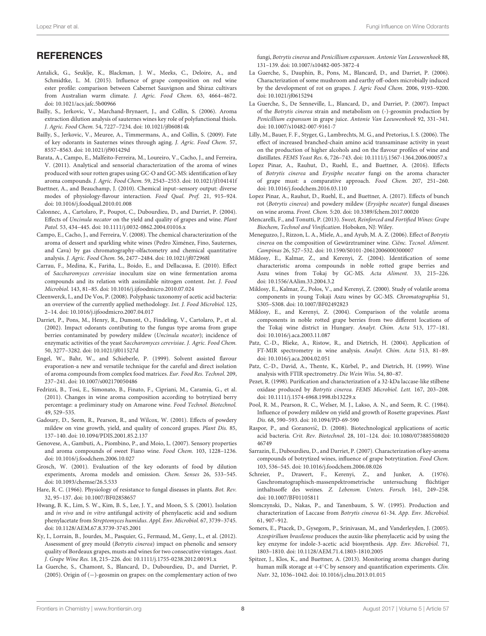# **REFERENCES**

- <span id="page-7-37"></span>Antalick, G., Seuklje, K., Blackman, J. W., Meeks, C., Deloire, A., and Schmidtke, L. M. (2015). Influence of grape composition on red wine ester profile: comparison between Cabernet Sauvignon and Shiraz cultivars from Australian warm climate. J. Agric. Food Chem. 63, 4664–4672. doi: [10.1021/acs.jafc.5b00966](https://doi.org/10.1021/acs.jafc.5b00966)
- <span id="page-7-0"></span>Bailly, S., Jerkovic, V., Marchand-Brynaert, J., and Collin, S. (2006). Aroma extraction dilution analysis of sauternes wines key role of polyfunctional thiols. J. Agric. Food Chem. 54, 7227–7234. doi: [10.1021/jf060814k](https://doi.org/10.1021/jf060814k)
- <span id="page-7-1"></span>Bailly, S., Jerkovic, V., Meuree, A., Timmermans, A., and Collin, S. (2009). Fate of key odorants in Sauternes wines through aging. J. Agric. Food Chem. 57, 8557–8563. doi: [10.1021/jf901429d](https://doi.org/10.1021/jf901429d)
- <span id="page-7-11"></span>Barata, A., Campo, E., Malfeito-Ferreira, M., Loureiro, V., Cacho, J., and Ferreira, V. (2011). Analytical and sensorial characterization of the aroma of wines produced with sour rotten grapes using GC-O and GC-MS: identification of key aroma compounds. J. Agric. Food Chem. 59, 2543–2553. doi: [10.1021/jf104141f](https://doi.org/10.1021/jf104141f)
- <span id="page-7-38"></span>Buettner, A., and Beauchamp, J. (2010). Chemical input–sensory output: diverse modes of physiology-flavour interaction. Food Qual. Pref. 21, 915–924. doi: [10.1016/j.foodqual.2010.01.008](https://doi.org/10.1016/j.foodqual.2010.01.008)
- <span id="page-7-18"></span>Calonnec, A., Cartolaro, P., Poupot, C., Dubourdieu, D., and Darriet, P. (2004). Effects of Uncinula necator on the yield and quality of grapes and wine. Plant Patol. 53, 434–445. doi: [10.1111/j.0032-0862.2004.01016.x](https://doi.org/10.1111/j.0032-0862.2004.01016.x)
- <span id="page-7-3"></span>Campo, E., Cacho, J., and Ferreira, V. (2008). The chemical characterization of the aroma of dessert and sparkling white wines (Pedro Ximénez, Fino, Sauternes, and Cava) by gas chromatography-olfactometry and chemical quantitative analysis. J. Agric. Food Chem. 56, 2477–2484. doi: [10.1021/jf072968l](https://doi.org/10.1021/jf072968l)
- <span id="page-7-36"></span>Carrau, F., Medina, K., Fariña, L., Boido, E., and Dellacassa, E. (2010). Effect of Saccharomyces cerevisiae inoculum size on wine fermentation aroma compounds and its relation with assimilable nitrogen content. Int. J. Food Microbiol. 143, 81–85. doi: [10.1016/j.ijfoodmicro.2010.07.024](https://doi.org/10.1016/j.ijfoodmicro.2010.07.024)
- <span id="page-7-29"></span>Cleenwerck, I., and De Vos, P. (2008). Polyphasic taxonomy of acetic acid bacteria: an overview of the currently applied methodology. Int. J. Food Microbiol. 125, 2–14. doi: [10.1016/j.ijfoodmicro.2007.04.017](https://doi.org/10.1016/j.ijfoodmicro.2007.04.017)
- <span id="page-7-19"></span>Darriet, P., Pons, M., Henry, R., Dumont, O., Findeling, V., Cartolaro, P., et al. (2002). Impact odorants contibuting to the fungus type aroma from grape berries contaminated by powdery mildew (Uncinula necator); incidence of enzymatic activities of the yeast Saccharomyces cerevisiae. J. Agric. Food Chem. 50, 3277–3282. doi: [10.1021/jf011527d](https://doi.org/10.1021/jf011527d)
- <span id="page-7-25"></span>Engel, W., Bahr, W., and Schieberle, P. (1999). Solvent assisted flavour evaporation-a new and versatile technique for the careful and direct isolation of aroma compounds from complex food matrices. Eur. Food Res. Technol. 209, 237–241. doi: [10.1007/s002170050486](https://doi.org/10.1007/s002170050486)
- <span id="page-7-5"></span>Fedrizzi, B., Tosi, E., Simonato, B., Finato, F., Cipriani, M., Caramia, G., et al. (2011). Changes in wine aroma composition according to botrytized berry percentage: a preliminary study on Amarone wine. Food Technol. Biotechnol. 49, 529–535.
- <span id="page-7-17"></span>Gadoury, D., Seem, R., Pearson, R., and Wilcox, W. (2001). Effects of powdery mildew on vine growth, yield, and quality of concord grapes. Plant Dis. 85, 137–140. doi: [10.1094/PDIS.2001.85.2.137](https://doi.org/10.1094/PDIS.2001.85.2.137)
- <span id="page-7-4"></span>Genovese, A., Gambuti, A., Piombino, P., and Moio, L. (2007). Sensory properties and aroma compounds of sweet Fiano wine. Food Chem. 103, 1228–1236. doi: [10.1016/j.foodchem.2006.10.027](https://doi.org/10.1016/j.foodchem.2006.10.027)
- <span id="page-7-20"></span>Grosch, W. (2001). Evaluation of the key odorants of food by dilution experiments, Aroma models and omission. Chem. Senses 26, 533–545. doi: [10.1093/chemse/26.5.533](https://doi.org/10.1093/chemse/26.5.533)
- <span id="page-7-35"></span>Hare, R. C. (1966). Physiology of resistance to fungal diseases in plants. Bot. Rev. 32, 95–137. doi: [10.1007/BF02858657](https://doi.org/10.1007/BF02858657)
- <span id="page-7-34"></span>Hwang, B. K., Lim, S. W., Kim, B. S., Lee, J. Y., and Moon, S. S. (2001). Isolation and in vivo and in vitro antifungal activity of phenylacetic acid and sodium phenylacetate from Streptomyces humidus. Appl. Env. Microbiol. 67, 3739–3745. doi: [10.1128/AEM.67.8.3739-3745.2001](https://doi.org/10.1128/AEM.67.8.3739-3745.2001)
- <span id="page-7-12"></span>Ky, I., Lorrain, B., Jourdes, M., Pasquier, G., Fermaud, M., Geny, L., et al. (2012). Assessment of grey mould (Botrytis cinerea) impact on phenolic and sensory quality of Bordeaux grapes, musts and wines for two consecutive vintages. Aust. J. Grape Wine Res. 18, 215–226. doi: [10.1111/j.1755-0238.2012.00191.x](https://doi.org/10.1111/j.1755-0238.2012.00191.x)
- <span id="page-7-13"></span>La Guerche, S., Chamont, S., Blancard, D., Dubourdieu, D., and Darriet, P. (2005). Origin of (−)-geosmin on grapes: on the complementary action of two

fungi, Botrytis cinerea and Penicillium expansum. Antonie Van Leeuwenhoek 88, 131–139. doi: [10.1007/s10482-005-3872-4](https://doi.org/10.1007/s10482-005-3872-4)

- <span id="page-7-14"></span>La Guerche, S., Dauphin, B., Pons, M., Blancard, D., and Darriet, P. (2006). Characterization of some mushroom and earthy off-odors microbially induced by the development of rot on grapes. J. Agric Food Chem. 2006, 9193–9200. doi: [10.1021/jf0615294](https://doi.org/10.1021/jf0615294)
- <span id="page-7-15"></span>La Guerche, S., De Senneville, L., Blancard, D., and Darriet, P. (2007). Impact of the Botrytis cinerea strain and metabolism on (-)-geosmin production by Penicillium expansum in grape juice. Antonie Van Leeuwenhoek 92, 331–341. doi: [10.1007/s10482-007-9161-7](https://doi.org/10.1007/s10482-007-9161-7)
- <span id="page-7-31"></span>Lilly, M., Bauer, F. F., Styger, G., Lambrechts, M. G., and Pretorius, I. S. (2006). The effect of increased branched-chain amino acid transaminase activity in yeast on the production of higher alcohols and on the flavour profiles of wine and distillates. FEMS Yeast Res. 6, 726–743. doi: [10.1111/j.1567-1364.2006.00057.x](https://doi.org/10.1111/j.1567-1364.2006.00057.x)
- <span id="page-7-22"></span>Lopez Pinar, A., Rauhut, D., Ruehl, E., and Buettner, A. (2016). Effects of Botrytis cinerea and Erysiphe necator fungi on the aroma character of grape must: a comparative approach. Food Chem. 207, 251–260. doi: [10.1016/j.foodchem.2016.03.110](https://doi.org/10.1016/j.foodchem.2016.03.110)
- <span id="page-7-21"></span>Lopez Pinar, A., Rauhut, D., Ruehl, E., and Buettner, A. (2017). Effects of bunch rot (Botrytis cinerea) and powdery mildew (Erysiphe necator) fungal diseases on wine aroma. Front. Chem. 5:20. doi: [10.3389/fchem.2017.00020](https://doi.org/10.3389/fchem.2017.00020)
- <span id="page-7-32"></span>Mencarelli, F., and Tonutti, P. (2013). Sweet, Reinforced and Fortified Wines: Grape Biochem, Technol and Vinification. Hoboken, NJ: Wiley.
- <span id="page-7-10"></span>Meneguzzo, J., Rizzon, L. A., Miele, A., and Ayub, M. A. Z. (2006). Effect of Botrytis cinerea on the composition of Gewürztraminer wine. Ciênc. Tecnol. Aliment. Campinas 26, 527–532. doi: [10.1590/S0101-20612006000300007](https://doi.org/10.1590/S0101-20612006000300007)
- <span id="page-7-8"></span>Miklosy, E., Kalmar, Z., and Kerenyi, Z. (2004). Identification of some characteristic aroma compounds in noble rotted grape berries and Aszu wines from Tokaj by GC-MS. Acta Aliment. 33, 215–226. doi: [10.1556/AAlim.33.2004.3.2](https://doi.org/10.1556/AAlim.33.2004.3.2)
- <span id="page-7-7"></span>Miklosy, E., Kalmar, Z., Polos, V., and Kerenyi, Z. (2000). Study of volatile aroma components in young Tokaji Aszu wines by GC-MS. Chromatographia 51, S305–S308. doi: [10.1007/BF02492823](https://doi.org/10.1007/BF02492823)
- <span id="page-7-9"></span>Miklosy, E., and Kerenyi, Z. (2004). Comparison of the volatile aroma components in noble rotted grape berries from two different locations of the Tokaj wine district in Hungary. Analyt. Chim. Acta 513, 177–181. doi: [10.1016/j.aca.2003.11.087](https://doi.org/10.1016/j.aca.2003.11.087)
- <span id="page-7-24"></span>Patz, C.-D., Blieke, A., Ristow, R., and Dietrich, H. (2004). Application of FT-MIR spectrometry in wine analysis. Analyt. Chim. Acta 513, 81–89. doi: [10.1016/j.aca.2004.02.051](https://doi.org/10.1016/j.aca.2004.02.051)
- <span id="page-7-23"></span>Patz, C.-D., David, A., Thente, K., Kürbel, P., and Dietrich, H. (1999). Wine analysis with FTIR spectrometry. Die Wein Wiss. 54, 80–87.
- <span id="page-7-28"></span>Pezet, R. (1998). Purification and characterization of a 32-kDa laccase-like stilbene oxidase produced by Botrytis cinerea. FEMS Microbiol. Lett. 167, 203–208. doi: [10.1111/j.1574-6968.1998.tb13229.x](https://doi.org/10.1111/j.1574-6968.1998.tb13229.x)
- <span id="page-7-16"></span>Pool, R. M., Pearson, R. C., Welser, M. J., Lakso, A. N., and Seem, R. C. (1984). Influence of powdery mildew on yield and growth of Rosette grapevines. Plant Dis. 68, 590–593. doi: [10.1094/PD-69-590](https://doi.org/10.1094/PD-69-590)
- <span id="page-7-30"></span>Raspor, P., and Goranovič, D. (2008). Biotechnological applications of acetic acid bacteria. Crit. Rev. Biotechnol. [28, 101–124. doi: 10.1080/073885508020](https://doi.org/10.1080/07388550802046749) 46749
- <span id="page-7-2"></span>Sarrazin, E., Dubourdieu, D., and Darriet, P. (2007). Characterization of key-aroma compounds of botrytized wines, influence of grape botrytization. Food Chem. 103, 536–545. doi: [10.1016/j.foodchem.2006.08.026](https://doi.org/10.1016/j.foodchem.2006.08.026)
- <span id="page-7-6"></span>Schreier, P., Drawert, F., Kerenyi, Z., and Junker, A. (1976). Gaschromatographisch-massenpektrometrische untersuchung flüchtiger inthaltssoffe des weines. Z. Lebensm. Unters. Forsch. 161, 249–258. doi: [10.1007/BF01105811](https://doi.org/10.1007/BF01105811)
- <span id="page-7-27"></span>Slomczynski, D., Nakas, P., and Tanenbaum, S. W. (1995). Production and characterization of Laccase from Botrytis cinerea 61-34. App. Env. Microbiol. 61, 907–912.
- <span id="page-7-33"></span>Somers, E., Ptacek, D., Gysegom, P., Srinivasan, M., and Vanderleyden, J. (2005). Azospirillum brasilense produces the auxin-like phenylacetic acid by using the key enzyme for indole-3-acetic acid biosynthesis. App. Env. Microbiol. 71, 1803–1810. doi: [10.1128/AEM.71.4.1803-1810.2005](https://doi.org/10.1128/AEM.71.4.1803-1810.2005)
- <span id="page-7-26"></span>Spitzer, J., Klos, K., and Buettner, A. (2013). Monitoring aroma changes during human milk storage at  $+4^{\circ}$ C by sensory and quantification experiments. Clin. Nutr. 32, 1036–1042. doi: [10.1016/j.clnu.2013.01.015](https://doi.org/10.1016/j.clnu.2013.01.015)